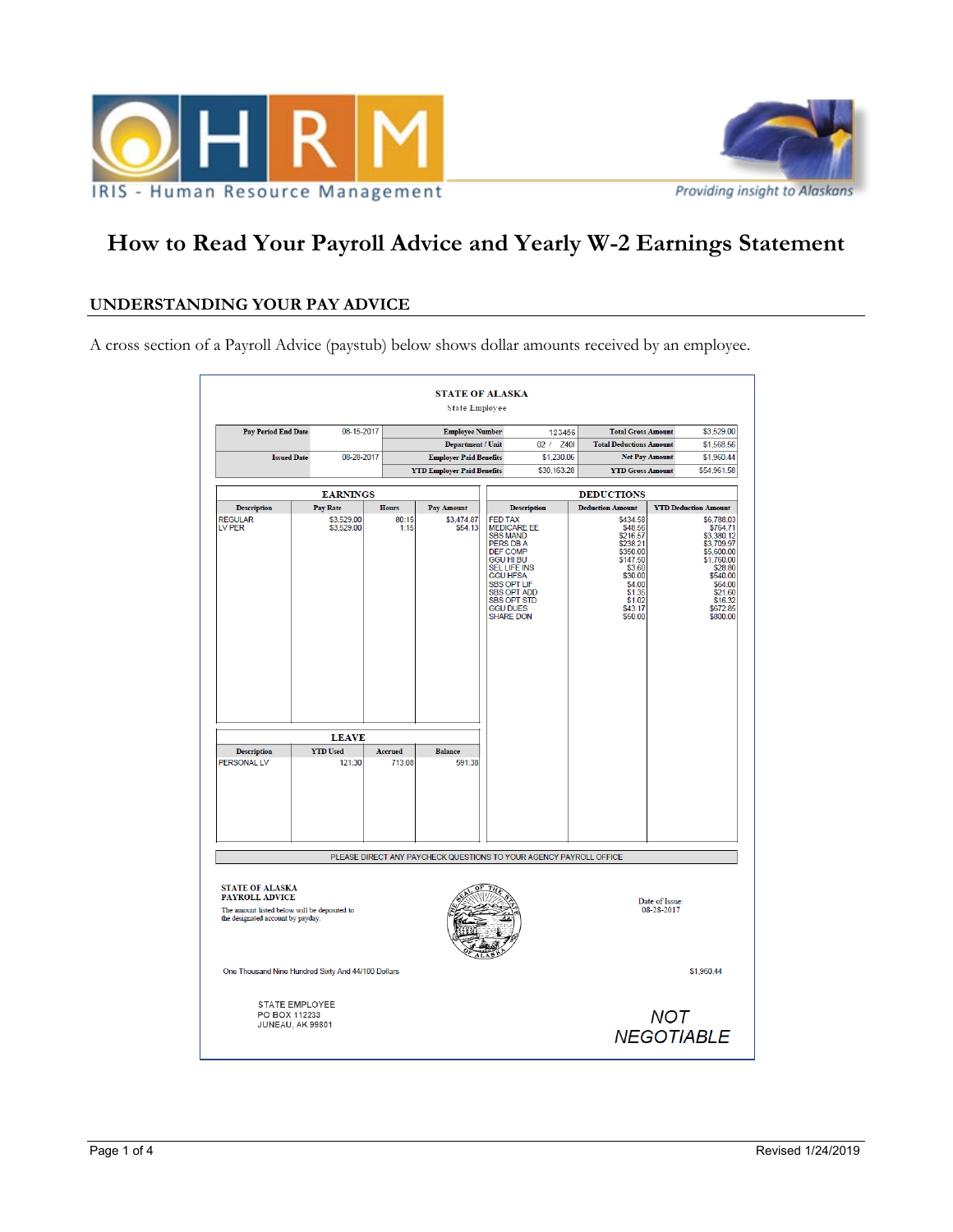



# **How to Read Your Payroll Advice and Yearly W-2 Earnings Statement**

## **UNDERSTANDING YOUR PAY ADVICE**

A cross section of a Payroll Advice (paystub) below shows dollar amounts received by an employee.

|                                                                                                                                      |                          |                | <b>STATE OF ALASKA</b><br><b>State Employee</b> |                                                                                                                                                                                                                                                                |                    |                                                                                                                                              |                                 |                                                                                                                                                                |  |
|--------------------------------------------------------------------------------------------------------------------------------------|--------------------------|----------------|-------------------------------------------------|----------------------------------------------------------------------------------------------------------------------------------------------------------------------------------------------------------------------------------------------------------------|--------------------|----------------------------------------------------------------------------------------------------------------------------------------------|---------------------------------|----------------------------------------------------------------------------------------------------------------------------------------------------------------|--|
| <b>Pay Period End Date</b>                                                                                                           | 08-15-2017               |                | <b>Employee Number</b>                          |                                                                                                                                                                                                                                                                | 123456             | <b>Total Gross Amount</b>                                                                                                                    |                                 | \$3,529.00                                                                                                                                                     |  |
|                                                                                                                                      |                          |                | Department / Unit                               |                                                                                                                                                                                                                                                                | 02/<br>Z40I        | <b>Total Deductions Amount</b>                                                                                                               |                                 | \$1,568.56                                                                                                                                                     |  |
| <b>Issued Date</b>                                                                                                                   | 08-28-2017               |                | <b>Employer Paid Benefits</b>                   |                                                                                                                                                                                                                                                                | \$1,230.06         |                                                                                                                                              | <b>Net Pay Amount</b>           | \$1,960.44                                                                                                                                                     |  |
|                                                                                                                                      |                          |                | <b>YTD Employer Paid Benefits</b>               |                                                                                                                                                                                                                                                                | \$30,163.28        | <b>YTD Gross Amount</b>                                                                                                                      |                                 | \$54,961.58                                                                                                                                                    |  |
|                                                                                                                                      | <b>EARNINGS</b>          |                |                                                 |                                                                                                                                                                                                                                                                |                    | <b>DEDUCTIONS</b>                                                                                                                            |                                 |                                                                                                                                                                |  |
| <b>Description</b>                                                                                                                   | <b>Pay Rate</b>          | <b>Hours</b>   | Pay Amount                                      |                                                                                                                                                                                                                                                                | <b>Description</b> | <b>Deduction Amount</b>                                                                                                                      |                                 | <b>YTD Deduction Amount</b>                                                                                                                                    |  |
| <b>REGULAR</b><br>LV PER                                                                                                             | \$3,529.00<br>\$3,529.00 | 80:15<br>1:15  | \$3,474.87<br>\$54.13                           | <b>FED TAX</b><br><b>MEDICARE EE</b><br><b>SBS MAND</b><br>PERS DB A<br><b>DEF COMP</b><br><b>GGU HI BU</b><br><b>SEL LIFE INS</b><br><b>GGU HFSA</b><br><b>SBS OPT LIF</b><br><b>SBS OPT ADD</b><br><b>SBS OPT STD</b><br><b>GGU DUES</b><br><b>SHARE DON</b> |                    | \$434.58<br>\$48.56<br>\$216.57<br>\$238.21<br>\$350.00<br>\$147.50<br>\$3.60<br>\$30.00<br>\$4.00<br>\$1.35<br>\$1.02<br>\$43.17<br>\$50.00 |                                 | \$6,788.03<br>\$764.71<br>\$3,380.12<br>\$3,709.97<br>\$5,600.00<br>\$1,760.00<br>\$28.80<br>\$540.00<br>\$64.00<br>\$21.60<br>\$16.32<br>\$672.85<br>\$800.00 |  |
| <b>LEAVE</b>                                                                                                                         |                          |                |                                                 |                                                                                                                                                                                                                                                                |                    |                                                                                                                                              |                                 |                                                                                                                                                                |  |
| <b>Description</b>                                                                                                                   | <b>YTD</b> Used          | <b>Accrued</b> | <b>Balance</b>                                  |                                                                                                                                                                                                                                                                |                    |                                                                                                                                              |                                 |                                                                                                                                                                |  |
| <b>PERSONAL LV</b>                                                                                                                   | 121:30                   | 713:08         | 591:38                                          |                                                                                                                                                                                                                                                                |                    |                                                                                                                                              |                                 |                                                                                                                                                                |  |
| PLEASE DIRECT ANY PAYCHECK QUESTIONS TO YOUR AGENCY PAYROLL OFFICE                                                                   |                          |                |                                                 |                                                                                                                                                                                                                                                                |                    |                                                                                                                                              |                                 |                                                                                                                                                                |  |
| <b>STATE OF ALASKA</b><br><b>PAYROLL ADVICE</b><br>The amount listed below will be deposited to<br>the designated account by payday. |                          |                |                                                 |                                                                                                                                                                                                                                                                |                    | Date of Issue:<br>08-28-2017                                                                                                                 |                                 |                                                                                                                                                                |  |
| One Thousand Nine Hundred Sixty And 44/100 Dollars                                                                                   |                          |                |                                                 |                                                                                                                                                                                                                                                                |                    |                                                                                                                                              |                                 | \$1,960.44                                                                                                                                                     |  |
| <b>STATE EMPLOYEE</b><br>PO BOX 112233<br><b>JUNEAU, AK 99801</b>                                                                    |                          |                |                                                 |                                                                                                                                                                                                                                                                |                    |                                                                                                                                              | <b>NOT</b><br><b>NEGOTIABLE</b> |                                                                                                                                                                |  |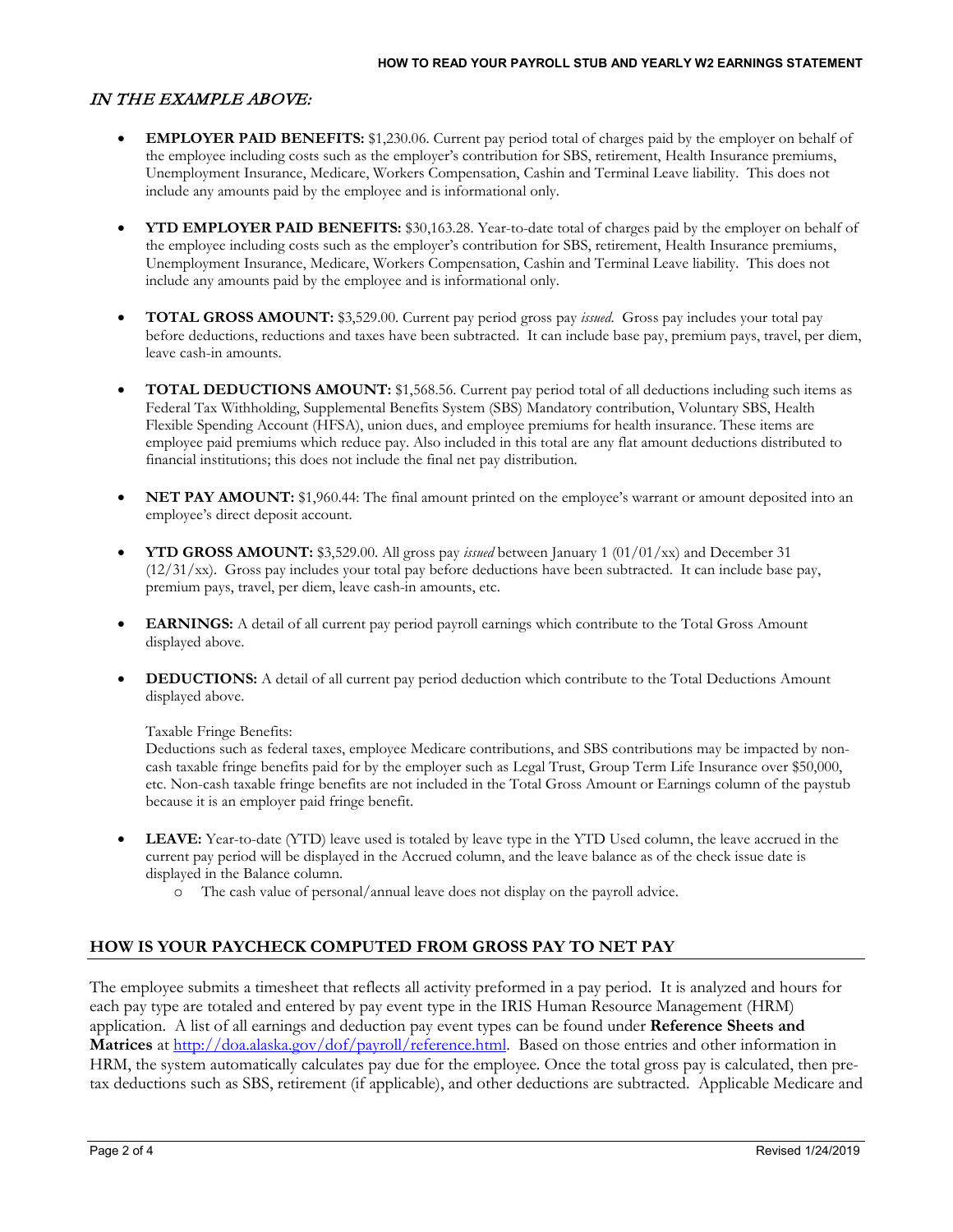# IN THE EXAMPLE ABOVE:

- **EMPLOYER PAID BENEFITS:** \$1,230.06. Current pay period total of charges paid by the employer on behalf of the employee including costs such as the employer's contribution for SBS, retirement, Health Insurance premiums, Unemployment Insurance, Medicare, Workers Compensation, Cashin and Terminal Leave liability. This does not include any amounts paid by the employee and is informational only.
- **YTD EMPLOYER PAID BENEFITS:** \$30,163.28. Year-to-date total of charges paid by the employer on behalf of the employee including costs such as the employer's contribution for SBS, retirement, Health Insurance premiums, Unemployment Insurance, Medicare, Workers Compensation, Cashin and Terminal Leave liability. This does not include any amounts paid by the employee and is informational only.
- **TOTAL GROSS AMOUNT:** \$3,529.00. Current pay period gross pay *issued*. Gross pay includes your total pay before deductions, reductions and taxes have been subtracted. It can include base pay, premium pays, travel, per diem, leave cash-in amounts.
- **TOTAL DEDUCTIONS AMOUNT:** \$1,568.56. Current pay period total of all deductions including such items as Federal Tax Withholding, Supplemental Benefits System (SBS) Mandatory contribution, Voluntary SBS, Health Flexible Spending Account (HFSA), union dues, and employee premiums for health insurance. These items are employee paid premiums which reduce pay. Also included in this total are any flat amount deductions distributed to financial institutions; this does not include the final net pay distribution.
- **NET PAY AMOUNT:** \$1,960.44: The final amount printed on the employee's warrant or amount deposited into an employee's direct deposit account.
- **YTD GROSS AMOUNT:** \$3,529.00. All gross pay *issued* between January 1 (01/01/xx) and December 31  $(12/31/xx)$ . Gross pay includes your total pay before deductions have been subtracted. It can include base pay, premium pays, travel, per diem, leave cash-in amounts, etc.
- **EARNINGS:** A detail of all current pay period payroll earnings which contribute to the Total Gross Amount displayed above.
- **DEDUCTIONS:** A detail of all current pay period deduction which contribute to the Total Deductions Amount displayed above.

#### Taxable Fringe Benefits:

Deductions such as federal taxes, employee Medicare contributions, and SBS contributions may be impacted by noncash taxable fringe benefits paid for by the employer such as Legal Trust, Group Term Life Insurance over \$50,000, etc. Non-cash taxable fringe benefits are not included in the Total Gross Amount or Earnings column of the paystub because it is an employer paid fringe benefit.

- **LEAVE:** Year-to-date (YTD) leave used is totaled by leave type in the YTD Used column, the leave accrued in the current pay period will be displayed in the Accrued column, and the leave balance as of the check issue date is displayed in the Balance column.
	- o The cash value of personal/annual leave does not display on the payroll advice.

### **HOW IS YOUR PAYCHECK COMPUTED FROM GROSS PAY TO NET PAY**

The employee submits a timesheet that reflects all activity preformed in a pay period. It is analyzed and hours for each pay type are totaled and entered by pay event type in the IRIS Human Resource Management (HRM) application. A list of all earnings and deduction pay event types can be found under **Reference Sheets and**  Matrices at [http://doa.alaska.gov/dof/payroll/reference.html.](http://doa.alaska.gov/dof/payroll/reference.html) Based on those entries and other information in HRM, the system automatically calculates pay due for the employee. Once the total gross pay is calculated, then pretax deductions such as SBS, retirement (if applicable), and other deductions are subtracted. Applicable Medicare and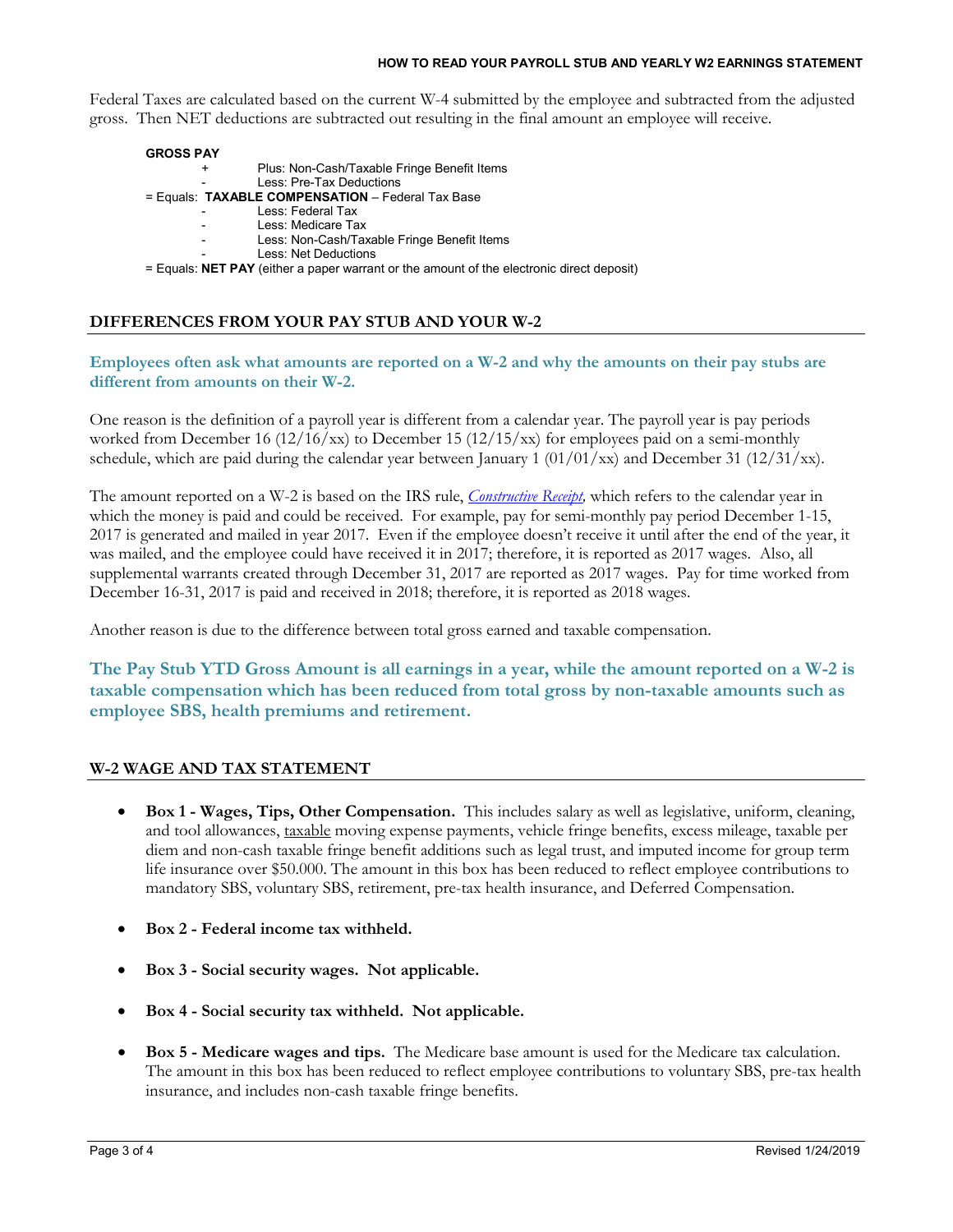#### **HOW TO READ YOUR PAYROLL STUB AND YEARLY W2 EARNINGS STATEMENT**

Federal Taxes are calculated based on the current W-4 submitted by the employee and subtracted from the adjusted gross. Then NET deductions are subtracted out resulting in the final amount an employee will receive.

| <b>GROSS PAY</b> |                                                                                             |
|------------------|---------------------------------------------------------------------------------------------|
| +                | Plus: Non-Cash/Taxable Fringe Benefit Items                                                 |
|                  | Less: Pre-Tax Deductions                                                                    |
|                  | = Equals: TAXABLE COMPENSATION - Federal Tax Base                                           |
|                  | Less: Federal Tax                                                                           |
| $\sim 100$       | Less: Medicare Tax                                                                          |
| $\sim$           | Less: Non-Cash/Taxable Fringe Benefit Items                                                 |
|                  | Less: Net Deductions                                                                        |
|                  | $=$ Equals: NET PAY (either a paper warrant or the amount of the electronic direct deposit) |
|                  |                                                                                             |

**DIFFERENCES FROM YOUR PAY STUB AND YOUR W-2**

#### **Employees often ask what amounts are reported on a W-2 and why the amounts on their pay stubs are different from amounts on their W-2.**

One reason is the definition of a payroll year is different from a calendar year. The payroll year is pay periods worked from December 16  $(12/16/xx)$  to December 15  $(12/15/xx)$  for employees paid on a semi-monthly schedule, which are paid during the calendar year between January 1  $(01/01/xx)$  and December 31  $(12/31/xx)$ .

The amount reported on a W-2 is based on the IRS rule, *[Constructive Receipt,](http://www.irs.gov/publications/p538/ar02.html#d0e1698)* which refers to the calendar year in which the money is paid and could be received. For example, pay for semi-monthly pay period December 1-15, 2017 is generated and mailed in year 2017. Even if the employee doesn't receive it until after the end of the year, it was mailed, and the employee could have received it in 2017; therefore, it is reported as 2017 wages. Also, all supplemental warrants created through December 31, 2017 are reported as 2017 wages. Pay for time worked from December 16-31, 2017 is paid and received in 2018; therefore, it is reported as 2018 wages.

Another reason is due to the difference between total gross earned and taxable compensation.

**The Pay Stub YTD Gross Amount is all earnings in a year, while the amount reported on a W-2 is taxable compensation which has been reduced from total gross by non-taxable amounts such as employee SBS, health premiums and retirement.**

#### **W-2 WAGE AND TAX STATEMENT**

- **Box 1 - Wages, Tips, Other Compensation.** This includes salary as well as legislative, uniform, cleaning, and tool allowances, taxable moving expense payments, vehicle fringe benefits, excess mileage, taxable per diem and non-cash taxable fringe benefit additions such as legal trust, and imputed income for group term life insurance over \$50.000. The amount in this box has been reduced to reflect employee contributions to mandatory SBS, voluntary SBS, retirement, pre-tax health insurance, and Deferred Compensation.
- **Box 2 - Federal income tax withheld.**
- **Box 3 - Social security wages. Not applicable.**
- **Box 4 - Social security tax withheld. Not applicable.**
- **Box 5 - Medicare wages and tips.** The Medicare base amount is used for the Medicare tax calculation. The amount in this box has been reduced to reflect employee contributions to voluntary SBS, pre-tax health insurance, and includes non-cash taxable fringe benefits.